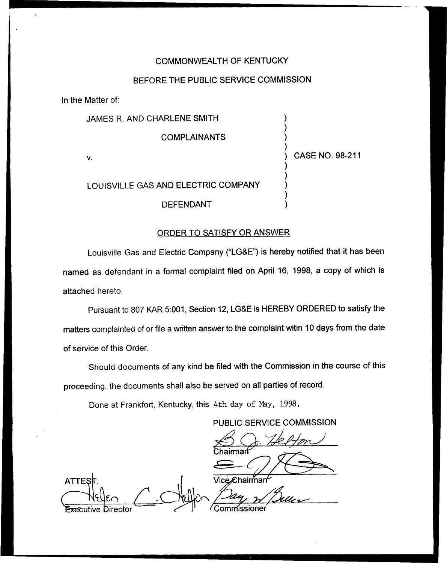#### COMMONWEALTH OF KENTUCKY

## BEFORE THE PUBLIC SERVICE COMMISSION

In the Matter of;

| JAMES R. AND CHARLENE SMITH         |                        |
|-------------------------------------|------------------------|
| <b>COMPLAINANTS</b>                 |                        |
| V.                                  | <b>CASE NO. 98-211</b> |
| LOUISVILLE GAS AND ELECTRIC COMPANY |                        |
| <b>DEFENDANT</b>                    |                        |

#### ORDER TO SATISFY OR ANSWER

Louisville Gas and Electric Company ("LG&E") is hereby notified that it has been named as defendant in a formal complaint filed on April 16, 1998, a copy of which is attached hereto.

Pursuant to 807 KAR 5:001, Section 12, LG&E is HEREBY ORDERED to satisfy the matters complainted of or file a written answer to the complaint witin 10 days from the date of service of this Order.

Should documents of any kind be filed with the Commission in the course of this proceeding, the documents shall also be served on all parties of record.

Done at Frankfort, Kentucky, this 4th day of Nay, 1998.

PUBLIC SERVICE COMMISSION

airmań

**ATTES** Vice*£*chairm̃an<sup>c</sup>  $\frac{d}{dx}$ missioner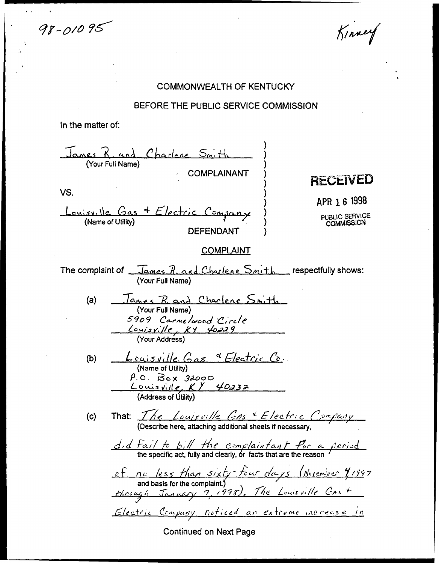98-01095

Kinney

### COMMONWEALTH OF KENTUCKY

#### BEFORE THE PUBLIC SERVICE COMMISSION

In the matter of:

James R. and Charlene Snith **COMPLAINANT RECEIVED** VS. APR 1 6 1998 Louisville Gas & Electric Company PUBLIC SERVICE<br>COMMISSION **DEFENDANT COMPLAINT** The complaint of  $\sqrt{L_{\text{LMES}} R_{\text{LCMS}} L_{\text{LCMS}} C_{\text{LCMS}} L_{\text{LCMS}} C_{\text{LCMS}} C_{\text{LCMS}} C_{\text{LCMS}} C_{\text{LCMS}} C_{\text{LCMS}} C_{\text{LCMS}} C_{\text{LCMS}} C_{\text{LCMS}} C_{\text{LCMS}} C_{\text{LCMS}} C_{\text{LCMS}} C_{\text{LCMS}} C_{\text{LCMS}} C_{\text{LCMS}} C_{\text{LCMS}} C_{\text{LCMS}} C_{\text{LCMS}} C_{$ (Your Full Name) James R. and Charlene Smith  $(a)$ (Your Full Name) 5909 Carme/wood Circle<br><u>Louisville, KY 40229</u><br>(YourAddress) <u>Louisville</u> Gas & Electric Co.<br>(Name of Utility)  $(b)$  $f. \circ.$  Box 32000<br>Louisville, KY 40232<br>(Address of Utility) That:  $\frac{\sqrt{e}}{\sqrt{e}}$   $\frac{\sqrt{e}}{2}$   $\frac{\sqrt{e}}{2}$   $\frac{\sqrt{e}}{2}$   $\frac{e}{2}$   $\frac{e}{2}$   $\frac{f}{2}$   $\frac{f}{2}$   $\frac{f}{2}$   $\frac{f}{2}$  (Describe here, attaching additional sheets if necessary,  $(c)$  $\frac{d_1 d_2 f_2}{d_1 f_2 f_3 f_4}$  for  $\frac{d_1 d_2 f_3}{d_2 f_4 f_5}$  for  $\frac{d_1 d_2 f_4}{d_1 f_4 f_5}$  or facts that are the reason of no less than sixty-four days (Nevember 91997<br>and basis for the complaint)<br>through January 7, 1998). The Louisville GAs + Glectric Company noticed an extreme increase in Continued on Next Page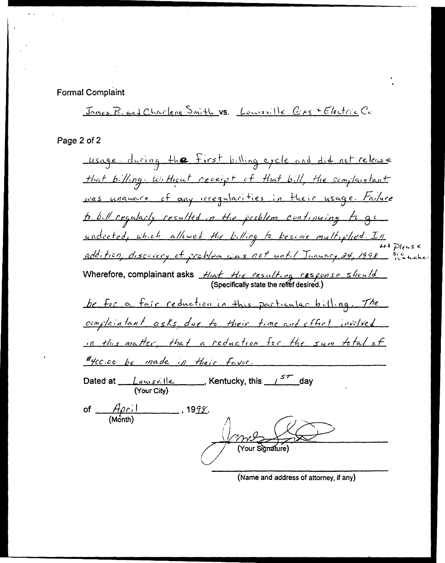**Formal Complaint** 

James R. and Charlene Smith VS. Louisville CAS & Electric Co

Page 2 of 2

usage during the first billing cycle and did not release that billing. Without receipt of that bill, the complaintant was unaware of any irregularities in their usage. Failure to bill regularly resulted in the problem continuing to go undected, which allowed the billing to become multiplied. In<br>\*\* Please<br>addition, discovery of problem was not until January 24, 1998 sections. Wherefore, complainant asks  $H_{1a}f_{2b}f_{3c}$  resulting response should be for a fair reduction in this particular billing. The complaintant asks, due to their time and effect involved in this matter, that a reduction for the sum total of #4cc.co be made in their favor. Dated at  $\frac{|\cos x|}{|\cos x|}$ , Kentucky, this  $\frac{5\pi}{\cos x}$  day of  $\frac{A\rho c.1}{(Month)}$ , 1998. **Your Signature** 

(Name and address of attorney, if any)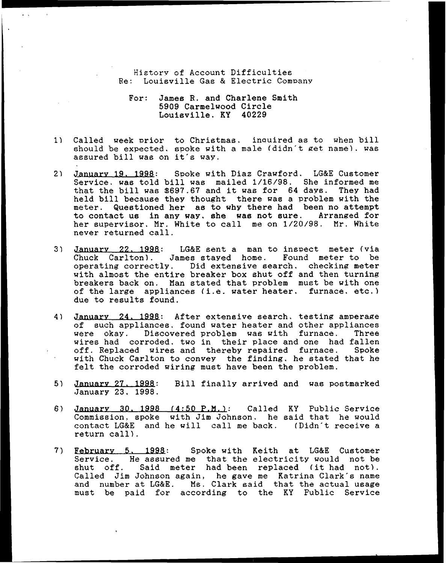Historv of Account Difficulties Re: Louisville Gas & Electric Company

For: James R. and Charlene Smith 5909 Carmelwood Circle Louisville. KY 40229

- Called week vrior to Christmas. inauired as to when bill should be expected, spoke with a male (didn't get name), was assured bill was on it's way.
- January 19. 1998: Spoke with Diaz Crawford. LG&E Customer  $2<sub>1</sub>$ Service. was told bill was mailed 1/16/98. She informed me that the bill was 8697.67 and it was for <sup>64</sup> davs. They had held bill because they thought there was a problem with the meter. Questioned her as to why there had been no attempt to contact us in any way. she was not sure. Arranged for her supervisor. Mr. White to call me on 1/20/98. Mr. White never returned call.
- Januarv 22. 1998: LG&E sent a man to inspect meter (via  $3<sub>1</sub>$ Chuck Carlton). James stayed home. Found meter to be operating correctly. Did extensive search. checking meter with almost the entire breaker box shut off and then turning breakers back on. Man stated that problem must be with one of the large appliances (i.e. water heater. furnace, etc.) due to results found.
- $4)$ January 24. 1998: After extensive search. testing amperage of such appliances, found water heater and other appliances<br>were okay. Discovered problem was with furnace. Three were okay. Discovered problem was with furnace. wires had corroded. two in their place and one had fallen off. Replaced wires and thereby repaired furnace. Spoke with Chuck Carlton to convey the finding. he stated that he felt the corroded wiring must have been the problem.
- $5)$ January 27, 1998: Bill finally arrived and was postmarked January 23, 1998.
- Januarv 30. 1998 (4:50 P.N.): Called KY Public Service Commission, spoke with Jim Johnson. he said that he would contact LG&E and he will call me back. (Didn t receive <sup>a</sup> return call).
- Februarv 5. 1998: Spoke with Keith at LG&E Customer Service. He assured me that the electricity would not be service. He assured me that the electricity would not be<br>shut off. Said meter had been replaced (it had not) Called Jim Johnson again, he gave me Katrina Clark's name and number at LG&E. Ms. Clark said that the actual usage must be paid for according to the KY Public Service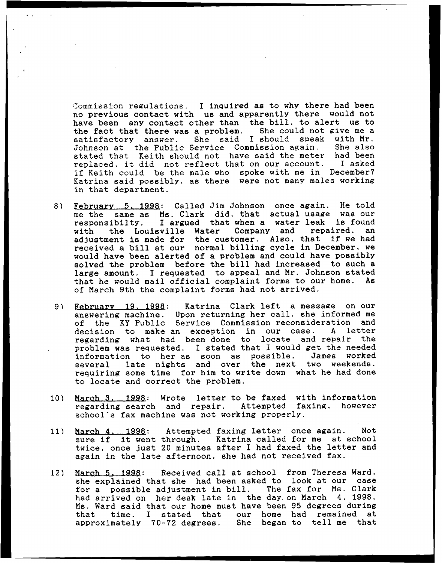Commission regulations. I inquired as to why there had been no previous contact with us and apparently there would not have been any contact other than the bill, to alert us to the fact that there was a problem. She could not give me a satisfactory answer. She said I should speak with Mr. Johnson at the Public Service Commission again. She also stated that Keith should not have said the meter had been replaced. it did not reflect that on our account. I asked if Keith could be the male who spoke with me in December? Katrina said possibly, as there were not manv males working in that department.

- Februarv 5. 1998: Called Jim Johnson once again. He told 8) me the same as Ms. Clark did, that actual usage was our responsibilty. I argued that when a water leak is found<br>with the Louisville Water Company and repaired, an the Louisville Water Company and repaired. adjustment is made for the customer. Also, that if we had received a bill at our normal billing cycle in December, we would have been alerted of a problem and could have possibly solved the problem before the bill had increased to such a large amount. I requested to appeal and Mr. Johnson stated that he would mail official complaint forms to our home. As of March 9th the complaint forms had not arrived.
- 9) February 19, 1998: Katrina Clark left a message on our answering machine. Upon returning her call. she informed me of the KY Public Service Commission reconsideration and decision to make an exception in our case. <sup>A</sup> letter regarding what had been done to locate and repair the problem was requested. I stated that I would get the needed information to her as soon as possible. James worked several late nights and over the next two weekends requiring some time for him to write down what he had done to locate and correct the problem.
- March 3. 1998: Wrote letter to be faxed with information  $10$ regarding search and repair. Attempted faxing, however school's fax machine was not working properly.
- March 4. 1998: Attempted faxing letter once again. Not  $11)$ darch 4. 1990: Attempted laxing letter once again. Not<br>sure if it went through. Katrina called for me at school twice, once just 20 minutes after I had faxed the letter and again in the late afternoon, she had not received fax.
- March 5. 1998: Received call at school from Theresa Ward  $12)$ she explained that she had been asked to look at our case for <sup>a</sup> possible adjustment in bill. The fax for Ms. Clark had arrived on her desk late in the day on March 4, 1998. Ms. Ward said that our home must have been 95 degrees during that time. I stated that our home had remained at approximately 70-72 degrees. She began to tell me that<br>approximately 70-72 degrees. She began to tell me that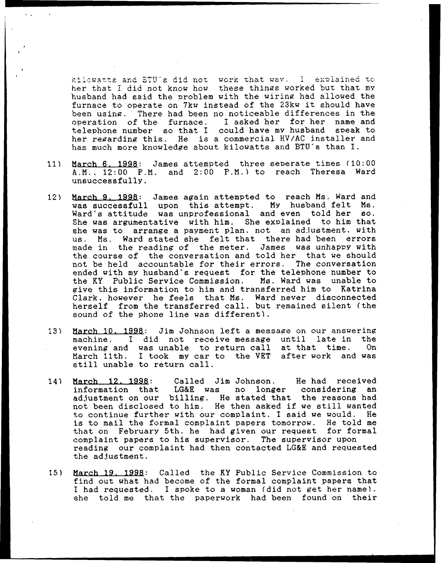and BTU's did not work that way. I explained her that I did not know how these things worked but that my husband had said the problem with the wiring had allowed the furnace to operate on 7kw instead of the 23kw it should have been using. There had been no noticeable differences in the operation of the furnace. I asked her for her name and operation of the furnace. I asked her for her telephone number so that I could have my husband speak to her regarding this. He is a commercial HV/AC installer and has much more knowledge about kilowatts and BTU's than I.

- $11)$ March 6, 1998: James attempted three seperate times (10:00 A.M.. 12:00 F.M. and 2:00 P.M.) to reach Theresa Ward unsuccessfully.
- March 9. 1998: James again attempted to reach Ms. Ward and was successfull upon this attempt. My husband felt Ms.  $12)$ was successfull upon this attempt. Ward's attitude was unprofessional and even told her so. She was argumentative with him. She explained to him that she was to arrange a payment plan, not an adjustment, with us. Ms. Ward stated she felt that there had been errors made in the reading of the meter. James was unhappy with the course of the conversation and told her that we should not be held accountable for their errors. The conversation ended with my husband's request for the telephone number to the KY Public Service Commission. Ms. Ward was unable to the KY Public Service Commission. give this information to him and transferred him to Katrina Clark. however he feels that Ns. Ward never disconnected herself from the transferred call. but remained silent (the sound of the phone line was different).
- March 10. 1998: Jim Johnson left a message on our answering<br>machine. I did not receive message until late in the  $13)$ I did not receive-message until late in the<br>d was unable to return call at that time. On evening and was unable to return call at that time. March 11th, <sup>I</sup> took my car to the VET after work and was still unable to return call.
- 14) March 12. 1998: Called Jim Johnson. He had received<br>information that LG&E was no longer considering an LG&E was no longer considering ad, iustment on our billing. He stated that the reasons had adjustment on our billing. He stated that the reasons had to continue further with our complaint. I said we would. He is to mail the formal complaint papers tomorrow. He told me that on February 5th, he had given our request for formal complaint papers to his supervisor. The supervisor upon reading our complaint had then contacted LG&E and requested the ad.iustment.
- March 19. 1998: Called the KY Public Service Commission to  $15)$ find out what had become of the formal complaint papers that I had requested. I spoke to a woman (did not get her name). she told me that the paperwork had been found on their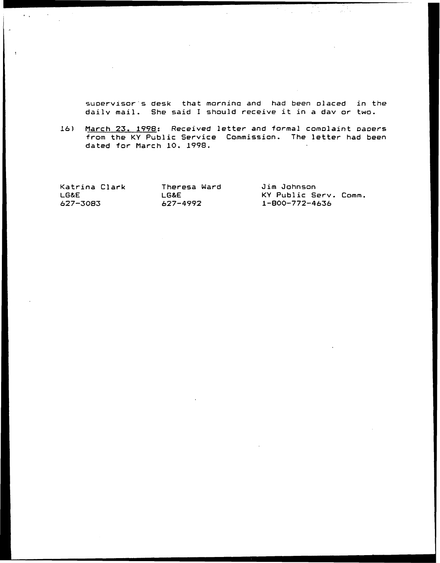suoervisor s desk that mornino and had been olaced in the dailv mail. She said <sup>I</sup> should receive it in <sup>a</sup> dav or two.

16) March 23. 1998: Received letter and formal comolaint oaoers from the KY Public Service Commission. The letter had been dated for March 10. 1998.

Katrina Clark LG&E 627-3083

 $\mathcal{A}(\mathcal{A})$  and  $\mathcal{A}(\mathcal{A})$ 

Theresa Ward LG&E 627-4992

Jim Johnson KY Public Serv. Comm. 1-800-772-4636

A.